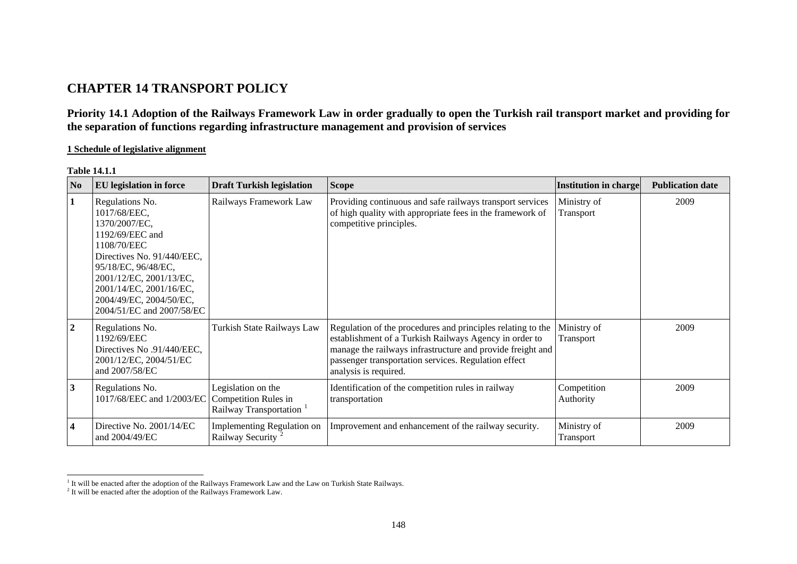# **CHAPTER 14 TRANSPORT POLICY**

**Priority 14.1 Adoption of the Railways Framework Law in order gradually to open the Turkish rail transport market and providing for the separation of functions regarding infrastructure management and provision of services** 

### **1 Schedule of legislative alignment**

| N <sub>o</sub>   | <b>EU</b> legislation in force                                                                                                                                                                                                                        | <b>Draft Turkish legislation</b>                            | <b>Scope</b>                                                                                                                                                                                                                                                         | <b>Institution in charge</b> | <b>Publication date</b> |
|------------------|-------------------------------------------------------------------------------------------------------------------------------------------------------------------------------------------------------------------------------------------------------|-------------------------------------------------------------|----------------------------------------------------------------------------------------------------------------------------------------------------------------------------------------------------------------------------------------------------------------------|------------------------------|-------------------------|
| $\mathbf{1}$     | Regulations No.<br>1017/68/EEC,<br>1370/2007/EC,<br>1192/69/EEC and<br>1108/70/EEC<br>Directives No. 91/440/EEC,<br>95/18/EC, 96/48/EC,<br>2001/12/EC, 2001/13/EC,<br>2001/14/EC, 2001/16/EC,<br>2004/49/EC, 2004/50/EC,<br>2004/51/EC and 2007/58/EC | Railways Framework Law                                      | Providing continuous and safe railways transport services<br>of high quality with appropriate fees in the framework of<br>competitive principles.                                                                                                                    | Ministry of<br>Transport     | 2009                    |
| $\overline{2}$   | Regulations No.<br>1192/69/EEC<br>Directives No.91/440/EEC,<br>2001/12/EC, 2004/51/EC<br>and 2007/58/EC                                                                                                                                               | Turkish State Railways Law                                  | Regulation of the procedures and principles relating to the<br>establishment of a Turkish Railways Agency in order to<br>manage the railways infrastructure and provide freight and<br>passenger transportation services. Regulation effect<br>analysis is required. | Ministry of<br>Transport     | 2009                    |
| $\vert 3 \vert$  | Regulations No.<br>1017/68/EEC and 1/2003/EC Competition Rules in                                                                                                                                                                                     | Legislation on the<br>Railway Transportation                | Identification of the competition rules in railway<br>transportation                                                                                                                                                                                                 | Competition<br>Authority     | 2009                    |
| $\boldsymbol{4}$ | Directive No. 2001/14/EC<br>and 2004/49/EC                                                                                                                                                                                                            | Implementing Regulation on<br>Railway Security <sup>2</sup> | Improvement and enhancement of the railway security.                                                                                                                                                                                                                 | Ministry of<br>Transport     | 2009                    |

**Table 14.1.1** 

<span id="page-0-0"></span><sup>&</sup>lt;sup>1</sup> It will be enacted after the adoption of the Railways Framework Law and the Law on Turkish State Railways.

<span id="page-0-1"></span> $2$  It will be enacted after the adoption of the Railways Framework Law.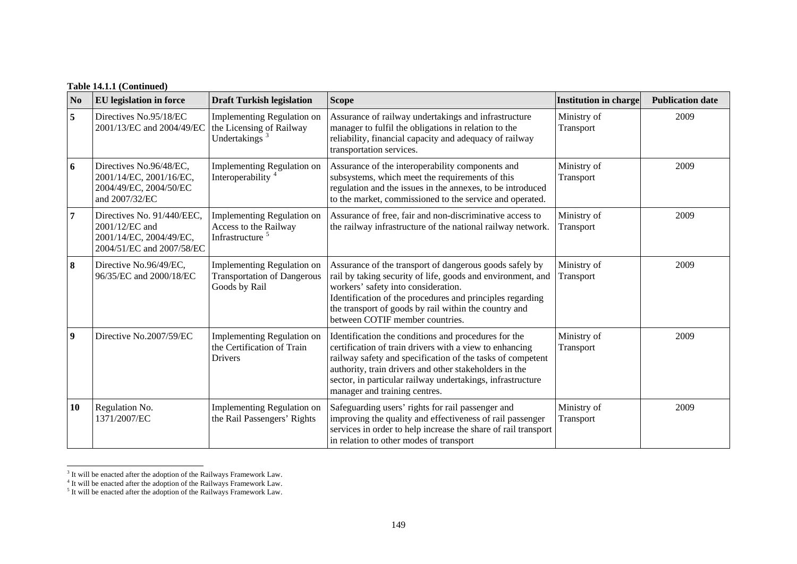# **Table 14.1.1 (Continued)**

| No               | <b>EU</b> legislation in force                                                                       | <b>Draft Turkish legislation</b>                                                          | <b>Scope</b>                                                                                                                                                                                                                                                                                                                           | <b>Institution in charge</b> | <b>Publication date</b> |
|------------------|------------------------------------------------------------------------------------------------------|-------------------------------------------------------------------------------------------|----------------------------------------------------------------------------------------------------------------------------------------------------------------------------------------------------------------------------------------------------------------------------------------------------------------------------------------|------------------------------|-------------------------|
| 5                | Directives No.95/18/EC<br>2001/13/EC and 2004/49/EC                                                  | Implementing Regulation on<br>the Licensing of Railway<br>Undertakings <sup>3</sup>       | Assurance of railway undertakings and infrastructure<br>manager to fulfil the obligations in relation to the<br>reliability, financial capacity and adequacy of railway<br>transportation services.                                                                                                                                    | Ministry of<br>Transport     | 2009                    |
| 6                | Directives No.96/48/EC,<br>2001/14/EC, 2001/16/EC,<br>2004/49/EC, 2004/50/EC<br>and 2007/32/EC       | Implementing Regulation on<br>Interoperability <sup>4</sup>                               | Assurance of the interoperability components and<br>subsystems, which meet the requirements of this<br>regulation and the issues in the annexes, to be introduced<br>to the market, commissioned to the service and operated.                                                                                                          | Ministry of<br>Transport     | 2009                    |
| 7                | Directives No. 91/440/EEC,<br>2001/12/EC and<br>2001/14/EC, 2004/49/EC,<br>2004/51/EC and 2007/58/EC | <b>Implementing Regulation on</b><br>Access to the Railway<br>Infrastructure <sup>5</sup> | Assurance of free, fair and non-discriminative access to<br>the railway infrastructure of the national railway network.                                                                                                                                                                                                                | Ministry of<br>Transport     | 2009                    |
| $\vert 8 \vert$  | Directive No.96/49/EC,<br>96/35/EC and 2000/18/EC                                                    | <b>Implementing Regulation on</b><br><b>Transportation of Dangerous</b><br>Goods by Rail  | Assurance of the transport of dangerous goods safely by<br>rail by taking security of life, goods and environment, and<br>workers' safety into consideration.<br>Identification of the procedures and principles regarding<br>the transport of goods by rail within the country and<br>between COTIF member countries.                 | Ministry of<br>Transport     | 2009                    |
| $\boldsymbol{9}$ | Directive No.2007/59/EC                                                                              | Implementing Regulation on<br>the Certification of Train<br><b>Drivers</b>                | Identification the conditions and procedures for the<br>certification of train drivers with a view to enhancing<br>railway safety and specification of the tasks of competent<br>authority, train drivers and other stakeholders in the<br>sector, in particular railway undertakings, infrastructure<br>manager and training centres. | Ministry of<br>Transport     | 2009                    |
| 10               | Regulation No.<br>1371/2007/EC                                                                       | <b>Implementing Regulation on</b><br>the Rail Passengers' Rights                          | Safeguarding users' rights for rail passenger and<br>improving the quality and effectiveness of rail passenger<br>services in order to help increase the share of rail transport<br>in relation to other modes of transport                                                                                                            | Ministry of<br>Transport     | 2009                    |

<span id="page-1-0"></span> $3$  It will be enacted after the adoption of the Railways Framework Law.

<span id="page-1-1"></span><sup>&</sup>lt;sup>4</sup> It will be enacted after the adoption of the Railways Framework Law.

<span id="page-1-2"></span> $<sup>5</sup>$  It will be enacted after the adoption of the Railways Framework Law.</sup>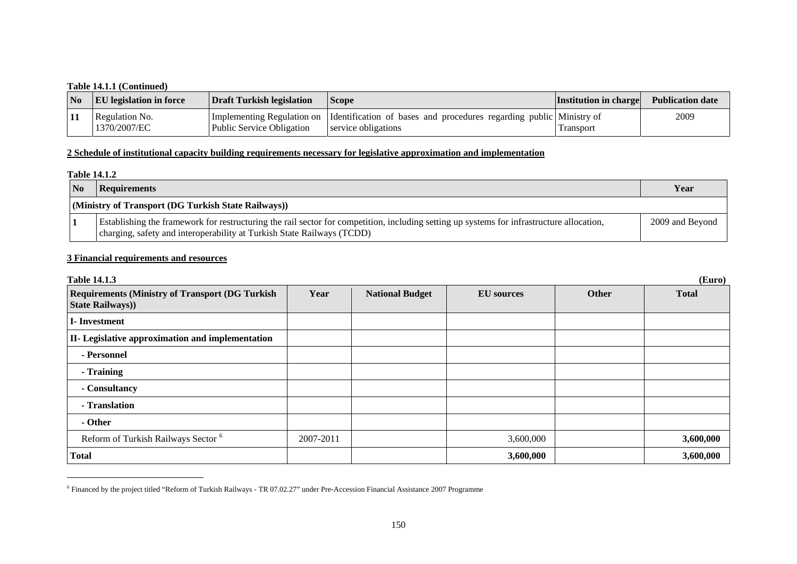### **Table 14.1.1 (Continued)**

| $\overline{\mathbf{N}}$ | <b>EU</b> legislation in force | Draft Turkish legislation | <b>Scope</b>                                                                                                          | <b>Institution in charge</b> | <b>Publication date</b> |
|-------------------------|--------------------------------|---------------------------|-----------------------------------------------------------------------------------------------------------------------|------------------------------|-------------------------|
| <b>11</b>               | Regulation No.<br>1370/2007/EC | Public Service Obligation | Implementing Regulation on Identification of bases and procedures regarding public Ministry of<br>service obligations | 1 ransport                   | 2009                    |

## **2 Schedule of institutional capacity building requirements necessary for legislative approximation and implementation**

#### **Table 14.1.2**

| N <sub>0</sub> | Requirements                                                                                                                                                                                                        | Year            |  |  |  |
|----------------|---------------------------------------------------------------------------------------------------------------------------------------------------------------------------------------------------------------------|-----------------|--|--|--|
|                | (Ministry of Transport (DG Turkish State Railways))                                                                                                                                                                 |                 |  |  |  |
|                | Establishing the framework for restructuring the rail sector for competition, including setting up systems for infrastructure allocation,<br>charging, safety and interoperability at Turkish State Railways (TCDD) | 2009 and Beyond |  |  |  |

### **3 Financial requirements and resources**

| <b>Table 14.1.3</b><br>(Euro)                                                     |           |                        |                   |       |              |  |  |
|-----------------------------------------------------------------------------------|-----------|------------------------|-------------------|-------|--------------|--|--|
| <b>Requirements (Ministry of Transport (DG Turkish)</b><br><b>State Railways)</b> | Year      | <b>National Budget</b> | <b>EU</b> sources | Other | <b>Total</b> |  |  |
| <b>I</b> -Investment                                                              |           |                        |                   |       |              |  |  |
| II- Legislative approximation and implementation                                  |           |                        |                   |       |              |  |  |
| - Personnel                                                                       |           |                        |                   |       |              |  |  |
| - Training                                                                        |           |                        |                   |       |              |  |  |
| - Consultancy                                                                     |           |                        |                   |       |              |  |  |
| - Translation                                                                     |           |                        |                   |       |              |  |  |
| - Other                                                                           |           |                        |                   |       |              |  |  |
| Reform of Turkish Railways Sector <sup>6</sup>                                    | 2007-2011 |                        | 3,600,000         |       | 3,600,000    |  |  |
| <b>Total</b>                                                                      |           |                        | 3,600,000         |       | 3,600,000    |  |  |

<span id="page-2-0"></span><sup>6</sup> Financed by the project titled "Reform of Turkish Railways - TR 07.02.27" under Pre-Accession Financial Assistance 2007 Programme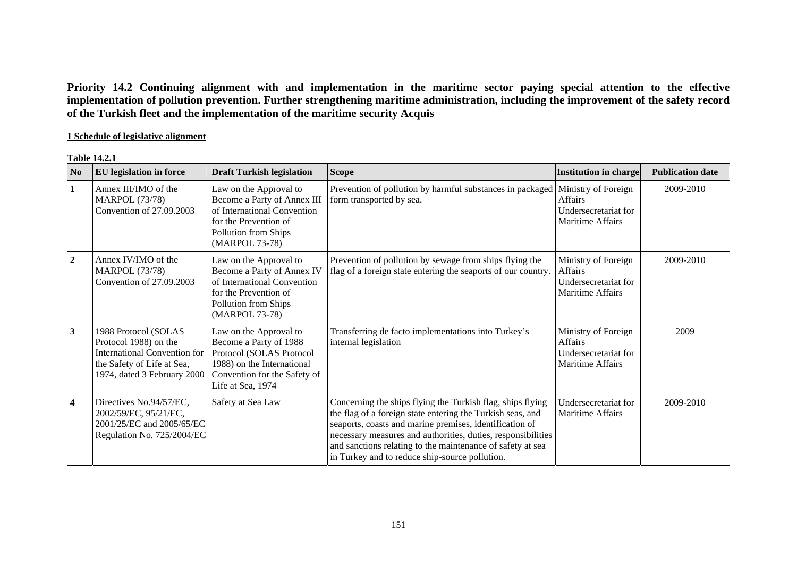**Priority 14.2 Continuing alignment with and implementation in the maritime sector paying special attention to the effective implementation of pollution prevention. Further strengthening maritime administration, including the improvement of the safety record of the Turkish fleet and the implementation of the maritime security Acquis** 

### **1 Schedule of legislative alignment**

#### **Table 14.2.1**

| N <sub>0</sub>          | <b>EU</b> legislation in force                                                                                                                    | <b>Draft Turkish legislation</b>                                                                                                                                | <b>Scope</b>                                                                                                                                                                                                                                                                                                                                                        | <b>Institution in charge</b>                                                      | <b>Publication date</b> |
|-------------------------|---------------------------------------------------------------------------------------------------------------------------------------------------|-----------------------------------------------------------------------------------------------------------------------------------------------------------------|---------------------------------------------------------------------------------------------------------------------------------------------------------------------------------------------------------------------------------------------------------------------------------------------------------------------------------------------------------------------|-----------------------------------------------------------------------------------|-------------------------|
| 1                       | Annex III/IMO of the<br><b>MARPOL (73/78)</b><br>Convention of 27.09.2003                                                                         | Law on the Approval to<br>Become a Party of Annex III<br>of International Convention<br>for the Prevention of<br>Pollution from Ships<br>(MARPOL 73-78)         | Prevention of pollution by harmful substances in packaged<br>form transported by sea.                                                                                                                                                                                                                                                                               | Ministry of Foreign<br>Affairs<br>Undersecretariat for<br>Maritime Affairs        | 2009-2010               |
| $\overline{2}$          | Annex IV/IMO of the<br><b>MARPOL</b> (73/78)<br>Convention of 27.09.2003                                                                          | Law on the Approval to<br>Become a Party of Annex IV<br>of International Convention<br>for the Prevention of<br>Pollution from Ships<br>(MARPOL 73-78)          | Prevention of pollution by sewage from ships flying the<br>flag of a foreign state entering the seaports of our country.                                                                                                                                                                                                                                            | Ministry of Foreign<br>Affairs<br>Undersecretariat for<br><b>Maritime Affairs</b> | 2009-2010               |
| $\mathbf{3}$            | 1988 Protocol (SOLAS<br>Protocol 1988) on the<br><b>International Convention for</b><br>the Safety of Life at Sea,<br>1974, dated 3 February 2000 | Law on the Approval to<br>Become a Party of 1988<br>Protocol (SOLAS Protocol<br>1988) on the International<br>Convention for the Safety of<br>Life at Sea, 1974 | Transferring de facto implementations into Turkey's<br>internal legislation                                                                                                                                                                                                                                                                                         | Ministry of Foreign<br><b>Affairs</b><br>Undersecretariat for<br>Maritime Affairs | 2009                    |
| $\overline{\mathbf{4}}$ | Directives No.94/57/EC,<br>2002/59/EC, 95/21/EC,<br>2001/25/EC and 2005/65/EC<br>Regulation No. 725/2004/EC                                       | Safety at Sea Law                                                                                                                                               | Concerning the ships flying the Turkish flag, ships flying<br>the flag of a foreign state entering the Turkish seas, and<br>seaports, coasts and marine premises, identification of<br>necessary measures and authorities, duties, responsibilities<br>and sanctions relating to the maintenance of safety at sea<br>in Turkey and to reduce ship-source pollution. | Undersecretariat for<br>Maritime Affairs                                          | 2009-2010               |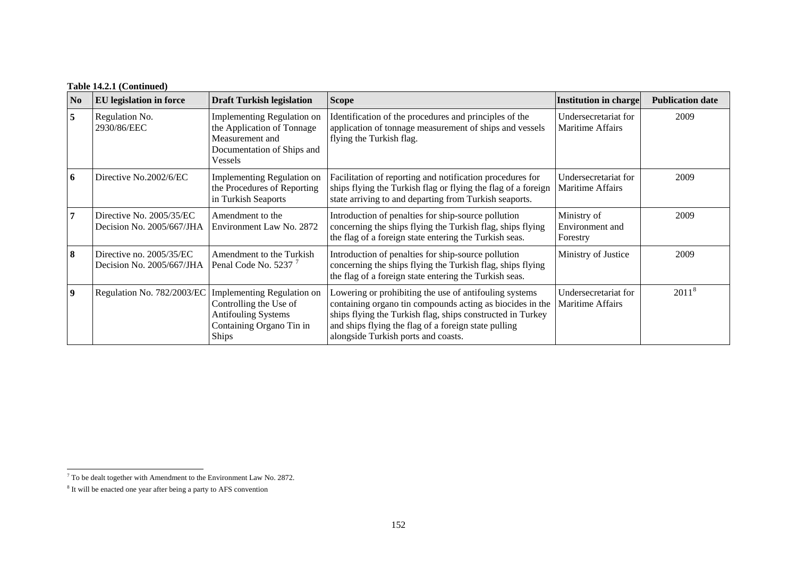| N <sub>0</sub>          | <b>EU</b> legislation in force                          | <b>Draft Turkish legislation</b>                                                                                               | <b>Scope</b>                                                                                                                                                                                                                                                                     | Institution in charge                           | <b>Publication date</b> |
|-------------------------|---------------------------------------------------------|--------------------------------------------------------------------------------------------------------------------------------|----------------------------------------------------------------------------------------------------------------------------------------------------------------------------------------------------------------------------------------------------------------------------------|-------------------------------------------------|-------------------------|
| 5                       | Regulation No.<br>2930/86/EEC                           | Implementing Regulation on<br>the Application of Tonnage<br>Measurement and<br>Documentation of Ships and<br>Vessels           | Identification of the procedures and principles of the<br>application of tonnage measurement of ships and vessels<br>flying the Turkish flag.                                                                                                                                    | Undersecretariat for<br><b>Maritime Affairs</b> | 2009                    |
| 6                       | Directive No.2002/6/EC                                  | Implementing Regulation on<br>the Procedures of Reporting<br>in Turkish Seaports                                               | Facilitation of reporting and notification procedures for<br>ships flying the Turkish flag or flying the flag of a foreign<br>state arriving to and departing from Turkish seaports.                                                                                             | Undersecretariat for<br><b>Maritime Affairs</b> | 2009                    |
| 7                       | Directive No. 2005/35/EC<br>Decision No. $2005/667/JHA$ | Amendment to the<br>Environment Law No. 2872                                                                                   | Introduction of penalties for ship-source pollution<br>concerning the ships flying the Turkish flag, ships flying<br>the flag of a foreign state entering the Turkish seas.                                                                                                      | Ministry of<br>Environment and<br>Forestry      | 2009                    |
| 8                       | Directive no. $2005/35/EC$<br>Decision No. 2005/667/JHA | Amendment to the Turkish<br>Penal Code No. 5237 <sup>7</sup>                                                                   | Introduction of penalties for ship-source pollution<br>concerning the ships flying the Turkish flag, ships flying<br>the flag of a foreign state entering the Turkish seas.                                                                                                      | Ministry of Justice                             | 2009                    |
| $\overline{\mathbf{9}}$ | Regulation No. 782/2003/EC                              | Implementing Regulation on<br>Controlling the Use of<br><b>Antifouling Systems</b><br>Containing Organo Tin in<br><b>Ships</b> | Lowering or prohibiting the use of antifouling systems<br>containing organo tin compounds acting as biocides in the<br>ships flying the Turkish flag, ships constructed in Turkey<br>and ships flying the flag of a foreign state pulling<br>alongside Turkish ports and coasts. | Undersecretariat for<br><b>Maritime Affairs</b> | 2011 <sup>8</sup>       |

<span id="page-4-0"></span> $^7$  To be dealt together with Amendment to the Environment Law No. 2872.

<span id="page-4-1"></span><sup>8</sup> It will be enacted one year after being a party to AFS convention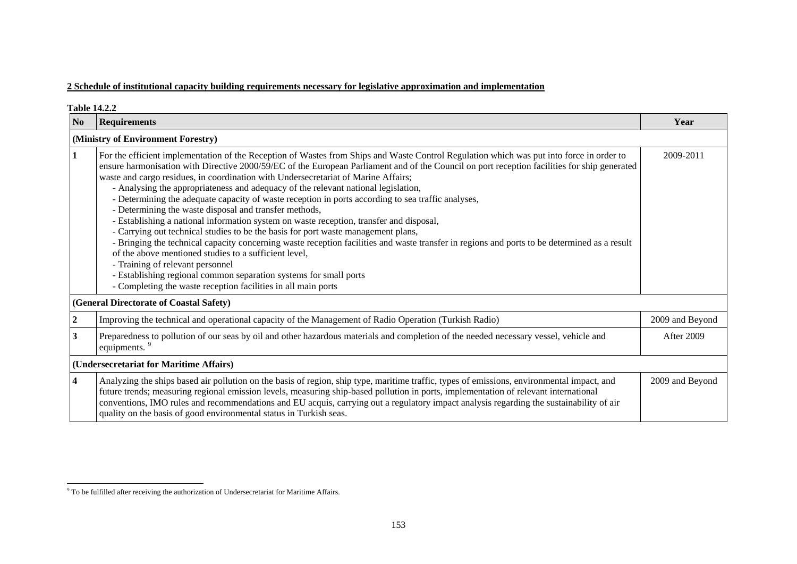# **2 Schedule of institutional capacity building requirements necessary for legislative approximation and implementation**

| <b>Table 14.2.2</b>                     |                                                                                                                                                                                                                                                                                                                                                                                                                                                                                                                                                                                                                                                                                                                                                                                                                                                                                                                                                                                                                                                                                                                                                                                                         |                 |  |  |  |
|-----------------------------------------|---------------------------------------------------------------------------------------------------------------------------------------------------------------------------------------------------------------------------------------------------------------------------------------------------------------------------------------------------------------------------------------------------------------------------------------------------------------------------------------------------------------------------------------------------------------------------------------------------------------------------------------------------------------------------------------------------------------------------------------------------------------------------------------------------------------------------------------------------------------------------------------------------------------------------------------------------------------------------------------------------------------------------------------------------------------------------------------------------------------------------------------------------------------------------------------------------------|-----------------|--|--|--|
| N <sub>o</sub>                          | <b>Requirements</b>                                                                                                                                                                                                                                                                                                                                                                                                                                                                                                                                                                                                                                                                                                                                                                                                                                                                                                                                                                                                                                                                                                                                                                                     | Year            |  |  |  |
|                                         | (Ministry of Environment Forestry)                                                                                                                                                                                                                                                                                                                                                                                                                                                                                                                                                                                                                                                                                                                                                                                                                                                                                                                                                                                                                                                                                                                                                                      |                 |  |  |  |
| 1                                       | For the efficient implementation of the Reception of Wastes from Ships and Waste Control Regulation which was put into force in order to<br>ensure harmonisation with Directive 2000/59/EC of the European Parliament and of the Council on port reception facilities for ship generated<br>waste and cargo residues, in coordination with Undersecretariat of Marine Affairs;<br>- Analysing the appropriateness and adequacy of the relevant national legislation,<br>- Determining the adequate capacity of waste reception in ports according to sea traffic analyses,<br>- Determining the waste disposal and transfer methods,<br>- Establishing a national information system on waste reception, transfer and disposal,<br>- Carrying out technical studies to be the basis for port waste management plans,<br>- Bringing the technical capacity concerning waste reception facilities and waste transfer in regions and ports to be determined as a result<br>of the above mentioned studies to a sufficient level,<br>- Training of relevant personnel<br>- Establishing regional common separation systems for small ports<br>- Completing the waste reception facilities in all main ports | 2009-2011       |  |  |  |
|                                         | (General Directorate of Coastal Safety)                                                                                                                                                                                                                                                                                                                                                                                                                                                                                                                                                                                                                                                                                                                                                                                                                                                                                                                                                                                                                                                                                                                                                                 |                 |  |  |  |
| 2                                       | Improving the technical and operational capacity of the Management of Radio Operation (Turkish Radio)                                                                                                                                                                                                                                                                                                                                                                                                                                                                                                                                                                                                                                                                                                                                                                                                                                                                                                                                                                                                                                                                                                   | 2009 and Beyond |  |  |  |
| 3                                       | Preparedness to pollution of our seas by oil and other hazardous materials and completion of the needed necessary vessel, vehicle and<br>equipments. <sup>9</sup>                                                                                                                                                                                                                                                                                                                                                                                                                                                                                                                                                                                                                                                                                                                                                                                                                                                                                                                                                                                                                                       | After 2009      |  |  |  |
| (Undersecretariat for Maritime Affairs) |                                                                                                                                                                                                                                                                                                                                                                                                                                                                                                                                                                                                                                                                                                                                                                                                                                                                                                                                                                                                                                                                                                                                                                                                         |                 |  |  |  |
| 4                                       | Analyzing the ships based air pollution on the basis of region, ship type, maritime traffic, types of emissions, environmental impact, and<br>future trends; measuring regional emission levels, measuring ship-based pollution in ports, implementation of relevant international<br>conventions, IMO rules and recommendations and EU acquis, carrying out a regulatory impact analysis regarding the sustainability of air<br>quality on the basis of good environmental status in Turkish seas.                                                                                                                                                                                                                                                                                                                                                                                                                                                                                                                                                                                                                                                                                                     | 2009 and Beyond |  |  |  |

<span id="page-5-0"></span><sup>&</sup>lt;sup>9</sup> To be fulfilled after receiving the authorization of Undersecretariat for Maritime Affairs.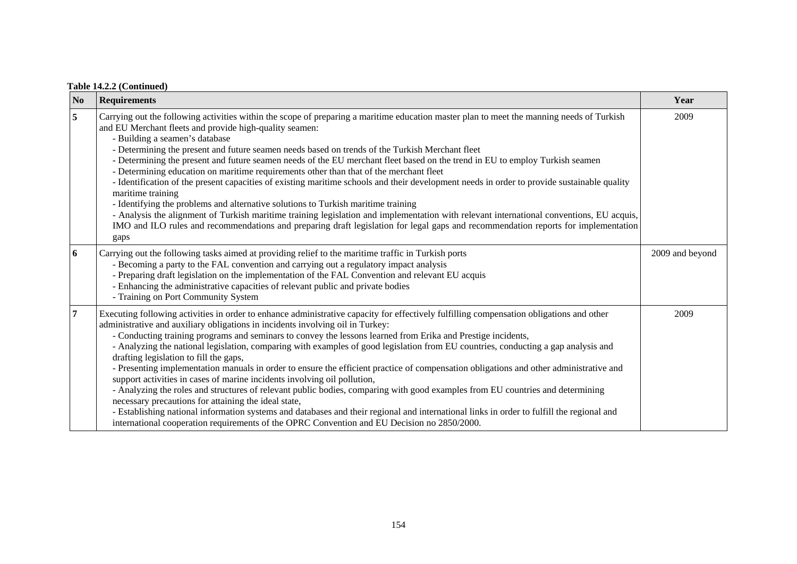# **Table 14.2.2 (Continued)**

| N <sub>o</sub> | <b>Requirements</b>                                                                                                                                                                                                                                                                                                                                                                                                                                                                                                                                                                                                                                                                                                                                                                                                                                                                                                                                                                                                                                                                                                                                                                    | Year            |
|----------------|----------------------------------------------------------------------------------------------------------------------------------------------------------------------------------------------------------------------------------------------------------------------------------------------------------------------------------------------------------------------------------------------------------------------------------------------------------------------------------------------------------------------------------------------------------------------------------------------------------------------------------------------------------------------------------------------------------------------------------------------------------------------------------------------------------------------------------------------------------------------------------------------------------------------------------------------------------------------------------------------------------------------------------------------------------------------------------------------------------------------------------------------------------------------------------------|-----------------|
| 5              | Carrying out the following activities within the scope of preparing a maritime education master plan to meet the manning needs of Turkish<br>and EU Merchant fleets and provide high-quality seamen:<br>- Building a seamen's database<br>- Determining the present and future seamen needs based on trends of the Turkish Merchant fleet<br>- Determining the present and future seamen needs of the EU merchant fleet based on the trend in EU to employ Turkish seamen<br>- Determining education on maritime requirements other than that of the merchant fleet<br>- Identification of the present capacities of existing maritime schools and their development needs in order to provide sustainable quality<br>maritime training<br>- Identifying the problems and alternative solutions to Turkish maritime training<br>- Analysis the alignment of Turkish maritime training legislation and implementation with relevant international conventions, EU acquis,<br>IMO and ILO rules and recommendations and preparing draft legislation for legal gaps and recommendation reports for implementation<br>gaps                                                                 | 2009            |
| 6              | Carrying out the following tasks aimed at providing relief to the maritime traffic in Turkish ports<br>- Becoming a party to the FAL convention and carrying out a regulatory impact analysis<br>- Preparing draft legislation on the implementation of the FAL Convention and relevant EU acquis<br>- Enhancing the administrative capacities of relevant public and private bodies<br>- Training on Port Community System                                                                                                                                                                                                                                                                                                                                                                                                                                                                                                                                                                                                                                                                                                                                                            | 2009 and beyond |
| $\overline{7}$ | Executing following activities in order to enhance administrative capacity for effectively fulfilling compensation obligations and other<br>administrative and auxiliary obligations in incidents involving oil in Turkey:<br>- Conducting training programs and seminars to convey the lessons learned from Erika and Prestige incidents,<br>- Analyzing the national legislation, comparing with examples of good legislation from EU countries, conducting a gap analysis and<br>drafting legislation to fill the gaps,<br>- Presenting implementation manuals in order to ensure the efficient practice of compensation obligations and other administrative and<br>support activities in cases of marine incidents involving oil pollution,<br>- Analyzing the roles and structures of relevant public bodies, comparing with good examples from EU countries and determining<br>necessary precautions for attaining the ideal state,<br>- Establishing national information systems and databases and their regional and international links in order to fulfill the regional and<br>international cooperation requirements of the OPRC Convention and EU Decision no 2850/2000. | 2009            |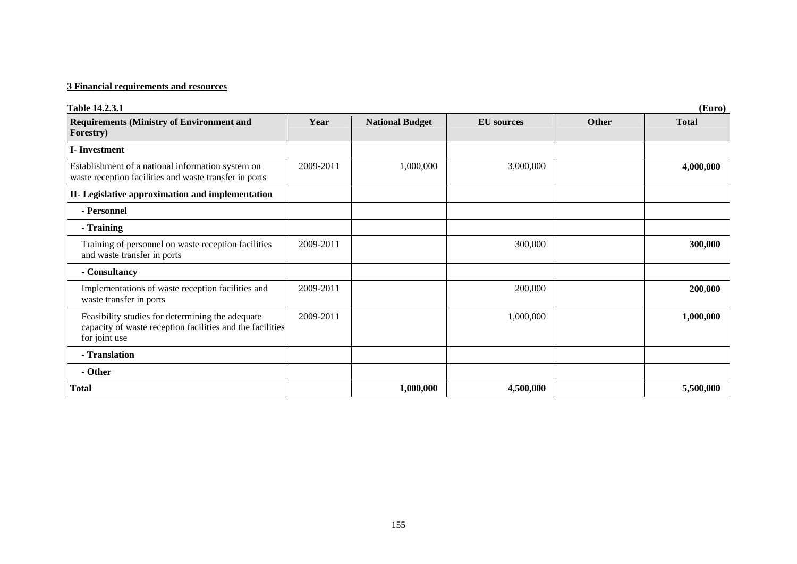# **3 Financial requirements and resources**

| Table 14.2.3.1                                                                                                                 | (Euro)    |                        |                   |              |              |  |  |
|--------------------------------------------------------------------------------------------------------------------------------|-----------|------------------------|-------------------|--------------|--------------|--|--|
| <b>Requirements (Ministry of Environment and</b><br>Forestry)                                                                  | Year      | <b>National Budget</b> | <b>EU</b> sources | <b>Other</b> | <b>Total</b> |  |  |
| <b>I</b> -Investment                                                                                                           |           |                        |                   |              |              |  |  |
| Establishment of a national information system on<br>waste reception facilities and waste transfer in ports                    | 2009-2011 | 1,000,000              | 3,000,000         |              | 4,000,000    |  |  |
| II- Legislative approximation and implementation                                                                               |           |                        |                   |              |              |  |  |
| - Personnel                                                                                                                    |           |                        |                   |              |              |  |  |
| - Training                                                                                                                     |           |                        |                   |              |              |  |  |
| Training of personnel on waste reception facilities<br>and waste transfer in ports                                             | 2009-2011 |                        | 300,000           |              | 300,000      |  |  |
| - Consultancy                                                                                                                  |           |                        |                   |              |              |  |  |
| Implementations of waste reception facilities and<br>waste transfer in ports                                                   | 2009-2011 |                        | 200,000           |              | 200,000      |  |  |
| Feasibility studies for determining the adequate<br>capacity of waste reception facilities and the facilities<br>for joint use | 2009-2011 |                        | 1,000,000         |              | 1,000,000    |  |  |
| - Translation                                                                                                                  |           |                        |                   |              |              |  |  |
| - Other                                                                                                                        |           |                        |                   |              |              |  |  |
| Total                                                                                                                          |           | 1,000,000              | 4,500,000         |              | 5,500,000    |  |  |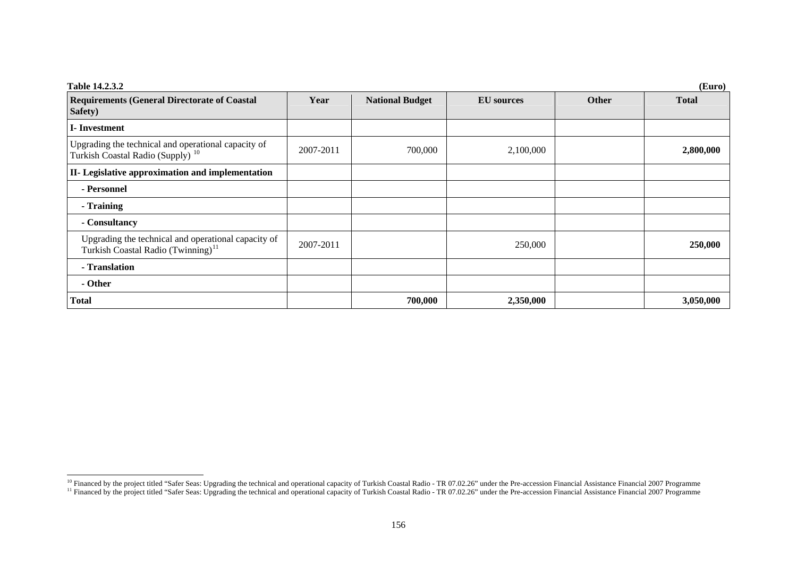| Table 14.2.3.2                                                                                        | (Euro)    |                        |                   |              |              |  |  |
|-------------------------------------------------------------------------------------------------------|-----------|------------------------|-------------------|--------------|--------------|--|--|
| <b>Requirements (General Directorate of Coastal</b><br>Safety)                                        | Year      | <b>National Budget</b> | <b>EU</b> sources | <b>Other</b> | <b>Total</b> |  |  |
| <b>I</b> -Investment                                                                                  |           |                        |                   |              |              |  |  |
| Upgrading the technical and operational capacity of<br>Turkish Coastal Radio (Supply) <sup>10</sup>   | 2007-2011 | 700,000                | 2,100,000         |              | 2,800,000    |  |  |
| II- Legislative approximation and implementation                                                      |           |                        |                   |              |              |  |  |
| - Personnel                                                                                           |           |                        |                   |              |              |  |  |
| - Training                                                                                            |           |                        |                   |              |              |  |  |
| - Consultancy                                                                                         |           |                        |                   |              |              |  |  |
| Upgrading the technical and operational capacity of<br>Turkish Coastal Radio (Twinning) <sup>11</sup> | 2007-2011 |                        | 250,000           |              | 250,000      |  |  |
| - Translation                                                                                         |           |                        |                   |              |              |  |  |
| - Other                                                                                               |           |                        |                   |              |              |  |  |
| <b>Total</b>                                                                                          |           | 700,000                | 2,350,000         |              | 3,050,000    |  |  |

<sup>&</sup>lt;sup>10</sup> Financed by the project titled "Safer Seas: Upgrading the technical and operational capacity of Turkish Coastal Radio - TR 07.02.26" under the Pre-accession Financial Assistance Financial 2007 Programme

<span id="page-8-1"></span><span id="page-8-0"></span><sup>&</sup>lt;sup>11</sup> Financed by the project titled "Safer Seas: Upgrading the technical and operational capacity of Turkish Coastal Radio - TR 07.02.26" under the Pre-accession Financial Assistance Financial 2007 Programme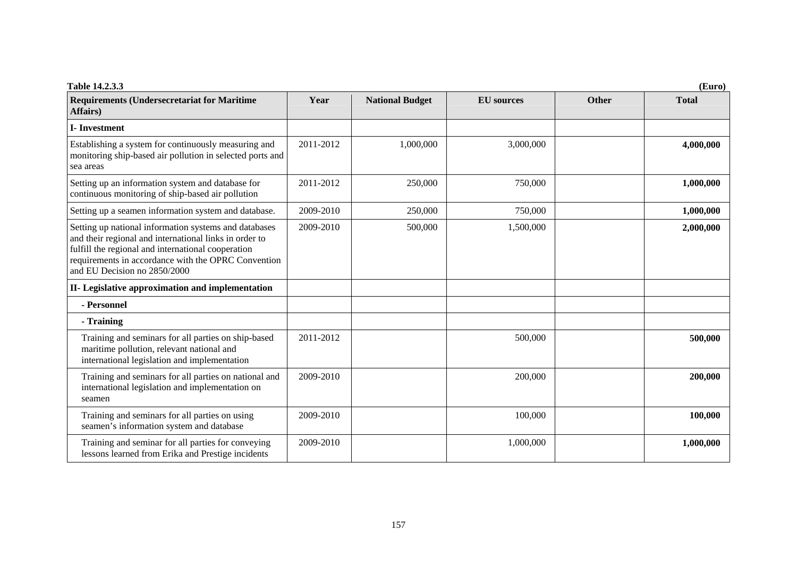| Table 14.2.3.3                                                                                                                                                                                                                                               |           |                        |                   |              | (Euro)       |
|--------------------------------------------------------------------------------------------------------------------------------------------------------------------------------------------------------------------------------------------------------------|-----------|------------------------|-------------------|--------------|--------------|
| <b>Requirements (Undersecretariat for Maritime</b><br>Affairs)                                                                                                                                                                                               | Year      | <b>National Budget</b> | <b>EU</b> sources | <b>Other</b> | <b>Total</b> |
| <b>I-Investment</b>                                                                                                                                                                                                                                          |           |                        |                   |              |              |
| Establishing a system for continuously measuring and<br>monitoring ship-based air pollution in selected ports and<br>sea areas                                                                                                                               | 2011-2012 | 1,000,000              | 3,000,000         |              | 4,000,000    |
| Setting up an information system and database for<br>continuous monitoring of ship-based air pollution                                                                                                                                                       | 2011-2012 | 250,000                | 750,000           |              | 1,000,000    |
| Setting up a seamen information system and database.                                                                                                                                                                                                         | 2009-2010 | 250,000                | 750,000           |              | 1,000,000    |
| Setting up national information systems and databases<br>and their regional and international links in order to<br>fulfill the regional and international cooperation<br>requirements in accordance with the OPRC Convention<br>and EU Decision no 2850/2000 | 2009-2010 | 500,000                | 1,500,000         |              | 2,000,000    |
| II- Legislative approximation and implementation                                                                                                                                                                                                             |           |                        |                   |              |              |
| - Personnel                                                                                                                                                                                                                                                  |           |                        |                   |              |              |
| - Training                                                                                                                                                                                                                                                   |           |                        |                   |              |              |
| Training and seminars for all parties on ship-based<br>maritime pollution, relevant national and<br>international legislation and implementation                                                                                                             | 2011-2012 |                        | 500,000           |              | 500,000      |
| Training and seminars for all parties on national and<br>international legislation and implementation on<br>seamen                                                                                                                                           | 2009-2010 |                        | 200,000           |              | 200,000      |
| Training and seminars for all parties on using<br>seamen's information system and database                                                                                                                                                                   | 2009-2010 |                        | 100,000           |              | 100,000      |
| Training and seminar for all parties for conveying<br>lessons learned from Erika and Prestige incidents                                                                                                                                                      | 2009-2010 |                        | 1,000,000         |              | 1,000,000    |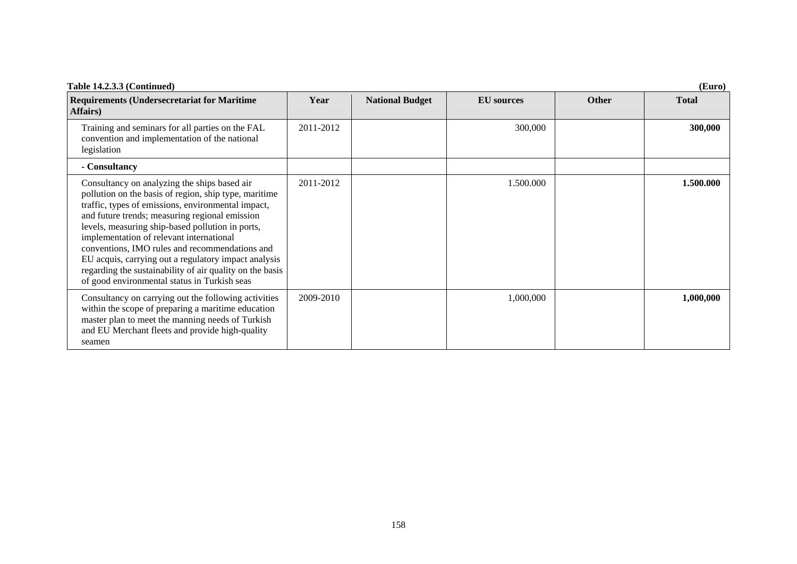| Table 14.2.3.3 (Continued)                                                                                                                                                                                                                                                                                                                                                                                                                                                                                                          | (Euro)    |                        |                   |              |              |  |
|-------------------------------------------------------------------------------------------------------------------------------------------------------------------------------------------------------------------------------------------------------------------------------------------------------------------------------------------------------------------------------------------------------------------------------------------------------------------------------------------------------------------------------------|-----------|------------------------|-------------------|--------------|--------------|--|
| <b>Requirements (Undersecretariat for Maritime</b><br><b>Affairs</b> )                                                                                                                                                                                                                                                                                                                                                                                                                                                              | Year      | <b>National Budget</b> | <b>EU</b> sources | <b>Other</b> | <b>Total</b> |  |
| Training and seminars for all parties on the FAL<br>convention and implementation of the national<br>legislation                                                                                                                                                                                                                                                                                                                                                                                                                    | 2011-2012 |                        | 300,000           |              | 300,000      |  |
| - Consultancy                                                                                                                                                                                                                                                                                                                                                                                                                                                                                                                       |           |                        |                   |              |              |  |
| Consultancy on analyzing the ships based air<br>pollution on the basis of region, ship type, maritime<br>traffic, types of emissions, environmental impact,<br>and future trends; measuring regional emission<br>levels, measuring ship-based pollution in ports,<br>implementation of relevant international<br>conventions, IMO rules and recommendations and<br>EU acquis, carrying out a regulatory impact analysis<br>regarding the sustainability of air quality on the basis<br>of good environmental status in Turkish seas | 2011-2012 |                        | 1.500.000         |              | 1.500.000    |  |
| Consultancy on carrying out the following activities<br>within the scope of preparing a maritime education<br>master plan to meet the manning needs of Turkish<br>and EU Merchant fleets and provide high-quality<br>seamen                                                                                                                                                                                                                                                                                                         | 2009-2010 |                        | 1,000,000         |              | 1,000,000    |  |

158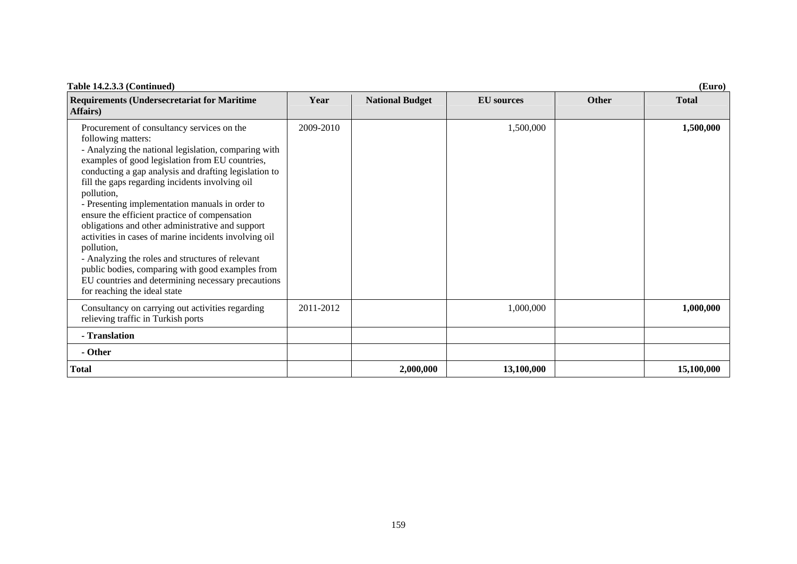| Table 14.2.3.3 (Continued)                                                                                                                                                                                                                                                                                                                                                                                                                                                                                                                                                                                                                                                                                                         | (Euro)    |                        |                   |              |              |  |  |
|------------------------------------------------------------------------------------------------------------------------------------------------------------------------------------------------------------------------------------------------------------------------------------------------------------------------------------------------------------------------------------------------------------------------------------------------------------------------------------------------------------------------------------------------------------------------------------------------------------------------------------------------------------------------------------------------------------------------------------|-----------|------------------------|-------------------|--------------|--------------|--|--|
| <b>Requirements (Undersecretariat for Maritime</b><br>Affairs)                                                                                                                                                                                                                                                                                                                                                                                                                                                                                                                                                                                                                                                                     | Year      | <b>National Budget</b> | <b>EU</b> sources | <b>Other</b> | <b>Total</b> |  |  |
| Procurement of consultancy services on the<br>following matters:<br>- Analyzing the national legislation, comparing with<br>examples of good legislation from EU countries,<br>conducting a gap analysis and drafting legislation to<br>fill the gaps regarding incidents involving oil<br>pollution,<br>- Presenting implementation manuals in order to<br>ensure the efficient practice of compensation<br>obligations and other administrative and support<br>activities in cases of marine incidents involving oil<br>pollution,<br>- Analyzing the roles and structures of relevant<br>public bodies, comparing with good examples from<br>EU countries and determining necessary precautions<br>for reaching the ideal state | 2009-2010 |                        | 1,500,000         |              | 1,500,000    |  |  |
| Consultancy on carrying out activities regarding<br>relieving traffic in Turkish ports                                                                                                                                                                                                                                                                                                                                                                                                                                                                                                                                                                                                                                             | 2011-2012 |                        | 1,000,000         |              | 1,000,000    |  |  |
| - Translation                                                                                                                                                                                                                                                                                                                                                                                                                                                                                                                                                                                                                                                                                                                      |           |                        |                   |              |              |  |  |
| - Other                                                                                                                                                                                                                                                                                                                                                                                                                                                                                                                                                                                                                                                                                                                            |           |                        |                   |              |              |  |  |
| <b>Total</b>                                                                                                                                                                                                                                                                                                                                                                                                                                                                                                                                                                                                                                                                                                                       |           | 2,000,000              | 13,100,000        |              | 15,100,000   |  |  |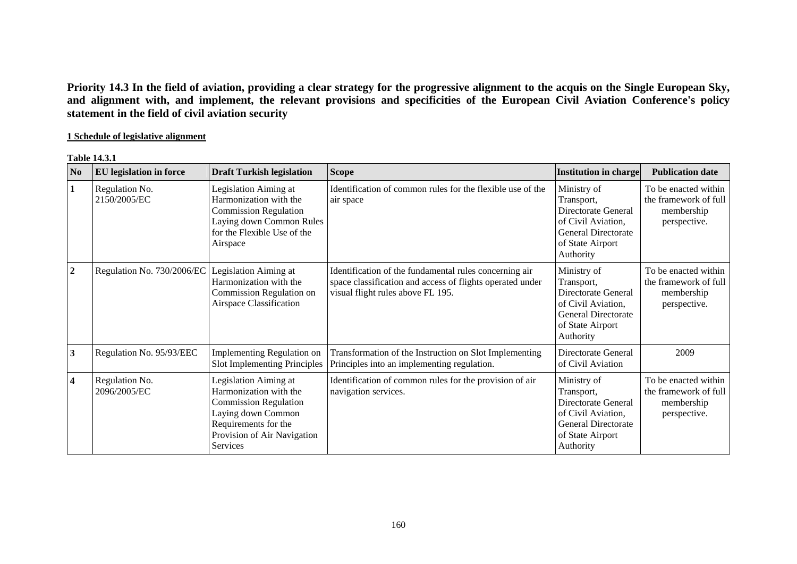**Priority 14.3 In the field of aviation, providing a clear strategy for the progressive alignment to the acquis on the Single European Sky, and alignment with, and implement, the relevant provisions and specificities of the European Civil Aviation Conference's policy statement in the field of civil aviation security** 

# **1 Schedule of legislative alignment**

#### **Table 14.3.1**

| N <sub>0</sub>          | <b>EU</b> legislation in force | <b>Draft Turkish legislation</b>                                                                                                                                                | <b>Scope</b>                                                                                                                                             | Institution in charge                                                                                                          | <b>Publication date</b>                                                     |
|-------------------------|--------------------------------|---------------------------------------------------------------------------------------------------------------------------------------------------------------------------------|----------------------------------------------------------------------------------------------------------------------------------------------------------|--------------------------------------------------------------------------------------------------------------------------------|-----------------------------------------------------------------------------|
| $\mathbf{1}$            | Regulation No.<br>2150/2005/EC | Legislation Aiming at<br>Harmonization with the<br><b>Commission Regulation</b><br>Laying down Common Rules<br>for the Flexible Use of the<br>Airspace                          | Identification of common rules for the flexible use of the<br>air space                                                                                  | Ministry of<br>Transport,<br>Directorate General<br>of Civil Aviation,<br>General Directorate<br>of State Airport<br>Authority | To be enacted within<br>the framework of full<br>membership<br>perspective. |
| $\overline{2}$          | Regulation No. 730/2006/EC     | Legislation Aiming at<br>Harmonization with the<br>Commission Regulation on<br>Airspace Classification                                                                          | Identification of the fundamental rules concerning air<br>space classification and access of flights operated under<br>visual flight rules above FL 195. | Ministry of<br>Transport,<br>Directorate General<br>of Civil Aviation,<br>General Directorate<br>of State Airport<br>Authority | To be enacted within<br>the framework of full<br>membership<br>perspective. |
| $\mathbf{3}$            | Regulation No. 95/93/EEC       | Implementing Regulation on<br>Slot Implementing Principles                                                                                                                      | Transformation of the Instruction on Slot Implementing<br>Principles into an implementing regulation.                                                    | Directorate General<br>of Civil Aviation                                                                                       | 2009                                                                        |
| $\overline{\mathbf{4}}$ | Regulation No.<br>2096/2005/EC | Legislation Aiming at<br>Harmonization with the<br><b>Commission Regulation</b><br>Laying down Common<br>Requirements for the<br>Provision of Air Navigation<br><b>Services</b> | Identification of common rules for the provision of air<br>navigation services.                                                                          | Ministry of<br>Transport,<br>Directorate General<br>of Civil Aviation,<br>General Directorate<br>of State Airport<br>Authority | To be enacted within<br>the framework of full<br>membership<br>perspective. |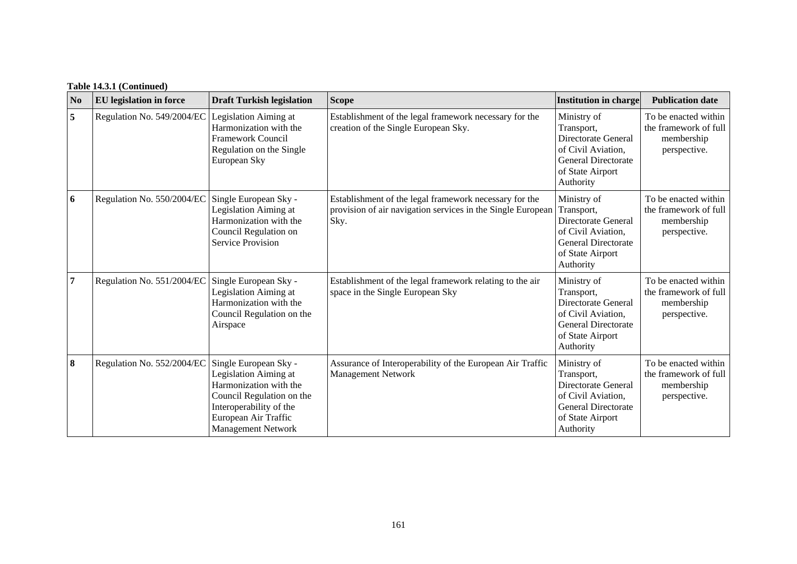| N <sub>0</sub> | <b>EU</b> legislation in force | <b>Draft Turkish legislation</b>                                                                                                                                                      | <b>Scope</b>                                                                                                                  | <b>Institution in charge</b>                                                                                                          | <b>Publication date</b>                                                     |
|----------------|--------------------------------|---------------------------------------------------------------------------------------------------------------------------------------------------------------------------------------|-------------------------------------------------------------------------------------------------------------------------------|---------------------------------------------------------------------------------------------------------------------------------------|-----------------------------------------------------------------------------|
| $\overline{5}$ | Regulation No. 549/2004/EC     | Legislation Aiming at<br>Harmonization with the<br>Framework Council<br>Regulation on the Single<br>European Sky                                                                      | Establishment of the legal framework necessary for the<br>creation of the Single European Sky.                                | Ministry of<br>Transport,<br>Directorate General<br>of Civil Aviation,<br><b>General Directorate</b><br>of State Airport<br>Authority | To be enacted within<br>the framework of full<br>membership<br>perspective. |
| 6              | Regulation No. 550/2004/EC     | Single European Sky -<br>Legislation Aiming at<br>Harmonization with the<br>Council Regulation on<br><b>Service Provision</b>                                                         | Establishment of the legal framework necessary for the<br>provision of air navigation services in the Single European<br>Sky. | Ministry of<br>Transport,<br>Directorate General<br>of Civil Aviation,<br><b>General Directorate</b><br>of State Airport<br>Authority | To be enacted within<br>the framework of full<br>membership<br>perspective. |
| $\overline{7}$ | Regulation No. 551/2004/EC     | Single European Sky -<br>Legislation Aiming at<br>Harmonization with the<br>Council Regulation on the<br>Airspace                                                                     | Establishment of the legal framework relating to the air<br>space in the Single European Sky                                  | Ministry of<br>Transport,<br>Directorate General<br>of Civil Aviation,<br><b>General Directorate</b><br>of State Airport<br>Authority | To be enacted within<br>the framework of full<br>membership<br>perspective. |
| 8              | Regulation No. 552/2004/EC     | Single European Sky -<br>Legislation Aiming at<br>Harmonization with the<br>Council Regulation on the<br>Interoperability of the<br>European Air Traffic<br><b>Management Network</b> | Assurance of Interoperability of the European Air Traffic<br><b>Management Network</b>                                        | Ministry of<br>Transport,<br>Directorate General<br>of Civil Aviation,<br><b>General Directorate</b><br>of State Airport<br>Authority | To be enacted within<br>the framework of full<br>membership<br>perspective. |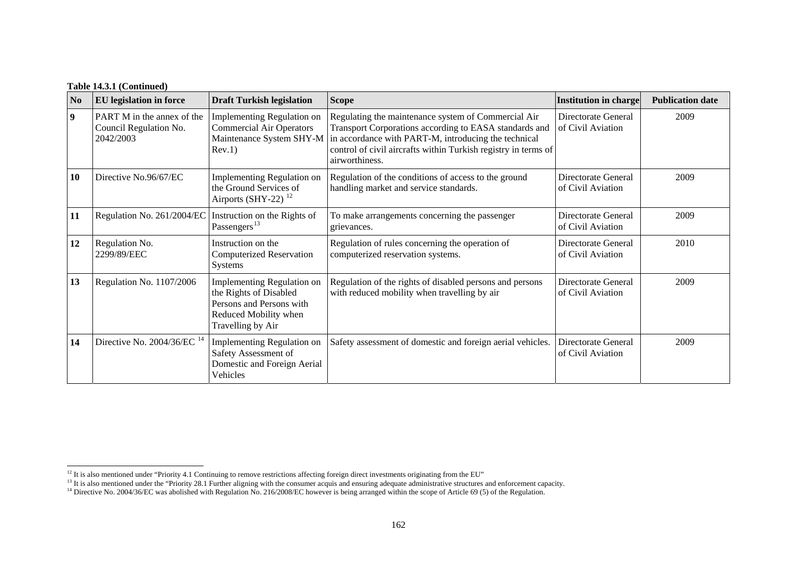### **Table 14.3.1 (Continued)**

| N <sub>0</sub> | <b>EU</b> legislation in force                                    | <b>Draft Turkish legislation</b>                                                                                                      | <b>Scope</b>                                                                                                                                                                                                                                                                       | <b>Institution in charge</b>             | <b>Publication date</b> |
|----------------|-------------------------------------------------------------------|---------------------------------------------------------------------------------------------------------------------------------------|------------------------------------------------------------------------------------------------------------------------------------------------------------------------------------------------------------------------------------------------------------------------------------|------------------------------------------|-------------------------|
| $\overline{9}$ | PART M in the annex of the<br>Council Regulation No.<br>2042/2003 | <b>Implementing Regulation on</b><br><b>Commercial Air Operators</b><br>Rev.1)                                                        | Regulating the maintenance system of Commercial Air<br>Transport Corporations according to EASA standards and<br>Maintenance System SHY-M in accordance with PART-M, introducing the technical<br>control of civil aircrafts within Turkish registry in terms of<br>airworthiness. | Directorate General<br>of Civil Aviation | 2009                    |
| 10             | Directive No.96/67/EC                                             | Implementing Regulation on<br>the Ground Services of<br>Airports (SHY-22) $12$                                                        | Regulation of the conditions of access to the ground<br>handling market and service standards.                                                                                                                                                                                     | Directorate General<br>of Civil Aviation | 2009                    |
| 11             | Regulation No. 261/2004/EC                                        | Instruction on the Rights of<br>Passengers <sup>13</sup>                                                                              | To make arrangements concerning the passenger<br>grievances.                                                                                                                                                                                                                       | Directorate General<br>of Civil Aviation | 2009                    |
| 12             | Regulation No.<br>2299/89/EEC                                     | Instruction on the<br><b>Computerized Reservation</b><br><b>Systems</b>                                                               | Regulation of rules concerning the operation of<br>computerized reservation systems.                                                                                                                                                                                               | Directorate General<br>of Civil Aviation | 2010                    |
| 13             | Regulation No. 1107/2006                                          | <b>Implementing Regulation on</b><br>the Rights of Disabled<br>Persons and Persons with<br>Reduced Mobility when<br>Travelling by Air | Regulation of the rights of disabled persons and persons<br>with reduced mobility when travelling by air                                                                                                                                                                           | Directorate General<br>of Civil Aviation | 2009                    |
| 14             | Directive No. $2004/36$ /EC <sup>14</sup>                         | Implementing Regulation on<br>Safety Assessment of<br>Domestic and Foreign Aerial<br>Vehicles                                         | Safety assessment of domestic and foreign aerial vehicles.                                                                                                                                                                                                                         | Directorate General<br>of Civil Aviation | 2009                    |

<span id="page-14-1"></span><span id="page-14-0"></span><sup>&</sup>lt;sup>12</sup> It is also mentioned under "Priority 4.1 Continuing to remove restrictions affecting foreign direct investments originating from the EU"

<sup>&</sup>lt;sup>13</sup> It is also mentioned under the "Priority 28.1 Further aligning with the consumer acquis and ensuring adequate administrative structures and enforcement capacity.

<span id="page-14-2"></span><sup>&</sup>lt;sup>14</sup> Directive No. 2004/36/EC was abolished with Regulation No. 216/2008/EC however is being arranged within the scope of Article 69 (5) of the Regulation.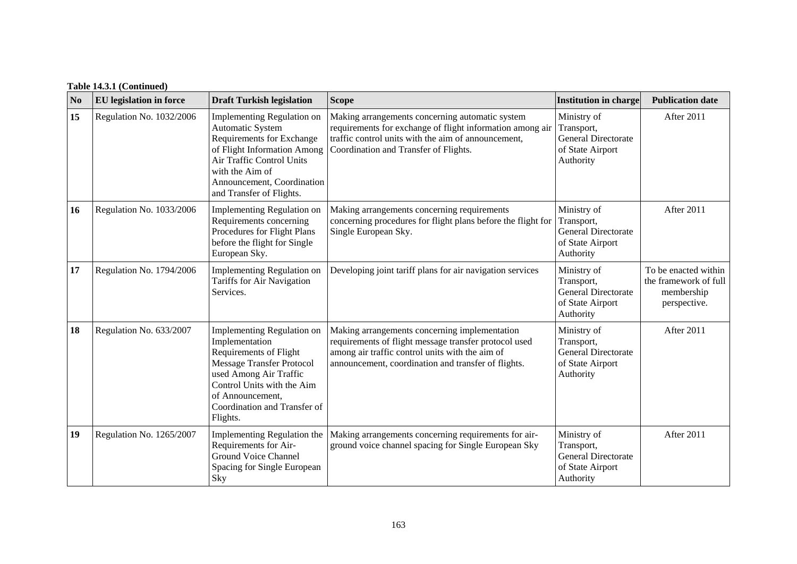| N <sub>0</sub> | <b>EU</b> legislation in force | <b>Draft Turkish legislation</b>                                                                                                                                                                                                   | <b>Scope</b>                                                                                                                                                                                                     | <b>Institution in charge</b>                                                             | <b>Publication date</b>                                                     |
|----------------|--------------------------------|------------------------------------------------------------------------------------------------------------------------------------------------------------------------------------------------------------------------------------|------------------------------------------------------------------------------------------------------------------------------------------------------------------------------------------------------------------|------------------------------------------------------------------------------------------|-----------------------------------------------------------------------------|
| 15             | Regulation No. 1032/2006       | Implementing Regulation on<br><b>Automatic System</b><br>Requirements for Exchange<br>of Flight Information Among<br>Air Traffic Control Units<br>with the Aim of<br>Announcement, Coordination<br>and Transfer of Flights.        | Making arrangements concerning automatic system<br>requirements for exchange of flight information among air<br>traffic control units with the aim of announcement,<br>Coordination and Transfer of Flights.     | Ministry of<br>Transport,<br><b>General Directorate</b><br>of State Airport<br>Authority | After 2011                                                                  |
| 16             | Regulation No. 1033/2006       | Implementing Regulation on<br>Requirements concerning<br>Procedures for Flight Plans<br>before the flight for Single<br>European Sky.                                                                                              | Making arrangements concerning requirements<br>concerning procedures for flight plans before the flight for<br>Single European Sky.                                                                              | Ministry of<br>Transport,<br><b>General Directorate</b><br>of State Airport<br>Authority | After 2011                                                                  |
| 17             | Regulation No. 1794/2006       | Implementing Regulation on<br>Tariffs for Air Navigation<br>Services.                                                                                                                                                              | Developing joint tariff plans for air navigation services                                                                                                                                                        | Ministry of<br>Transport,<br><b>General Directorate</b><br>of State Airport<br>Authority | To be enacted within<br>the framework of full<br>membership<br>perspective. |
| 18             | Regulation No. 633/2007        | Implementing Regulation on<br>Implementation<br>Requirements of Flight<br><b>Message Transfer Protocol</b><br>used Among Air Traffic<br>Control Units with the Aim<br>of Announcement,<br>Coordination and Transfer of<br>Flights. | Making arrangements concerning implementation<br>requirements of flight message transfer protocol used<br>among air traffic control units with the aim of<br>announcement, coordination and transfer of flights. | Ministry of<br>Transport,<br><b>General Directorate</b><br>of State Airport<br>Authority | After 2011                                                                  |
| 19             | Regulation No. 1265/2007       | Implementing Regulation the<br>Requirements for Air-<br><b>Ground Voice Channel</b><br>Spacing for Single European<br>Sky                                                                                                          | Making arrangements concerning requirements for air-<br>ground voice channel spacing for Single European Sky                                                                                                     | Ministry of<br>Transport,<br><b>General Directorate</b><br>of State Airport<br>Authority | After 2011                                                                  |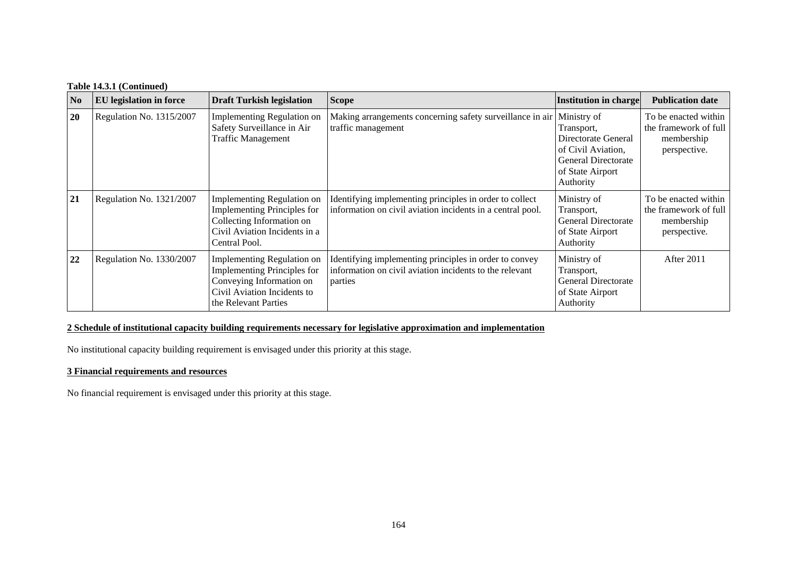# **Table 14.3.1 (Continued)**

| N <sub>0</sub> | <b>EU</b> legislation in force | <b>Draft Turkish legislation</b>                                                                                                                    | <b>Scope</b>                                                                                                                 | Institution in charge                                                                                                          | <b>Publication date</b>                                                     |
|----------------|--------------------------------|-----------------------------------------------------------------------------------------------------------------------------------------------------|------------------------------------------------------------------------------------------------------------------------------|--------------------------------------------------------------------------------------------------------------------------------|-----------------------------------------------------------------------------|
| 20             | Regulation No. 1315/2007       | Implementing Regulation on<br>Safety Surveillance in Air<br><b>Traffic Management</b>                                                               | Making arrangements concerning safety surveillance in air<br>traffic management                                              | Ministry of<br>Transport,<br>Directorate General<br>of Civil Aviation,<br>General Directorate<br>of State Airport<br>Authority | To be enacted within<br>the framework of full<br>membership<br>perspective. |
| 21             | Regulation No. 1321/2007       | Implementing Regulation on<br><b>Implementing Principles for</b><br>Collecting Information on<br>Civil Aviation Incidents in a<br>Central Pool.     | Identifying implementing principles in order to collect<br>information on civil aviation incidents in a central pool.        | Ministry of<br>Transport,<br><b>General Directorate</b><br>of State Airport<br>Authority                                       | To be enacted within<br>the framework of full<br>membership<br>perspective. |
| 22             | Regulation No. 1330/2007       | Implementing Regulation on<br><b>Implementing Principles for</b><br>Conveying Information on<br>Civil Aviation Incidents to<br>the Relevant Parties | Identifying implementing principles in order to convey<br>information on civil aviation incidents to the relevant<br>parties | Ministry of<br>Transport,<br><b>General Directorate</b><br>of State Airport<br>Authority                                       | After 2011                                                                  |

# **2 Schedule of institutional capacity building requirements necessary for legislative approximation and implementation**

No institutional capacity building requirement is envisaged under this priority at this stage.

#### **3 Financial requirements and resources**

No financial requirement is envisaged under this priority at this stage.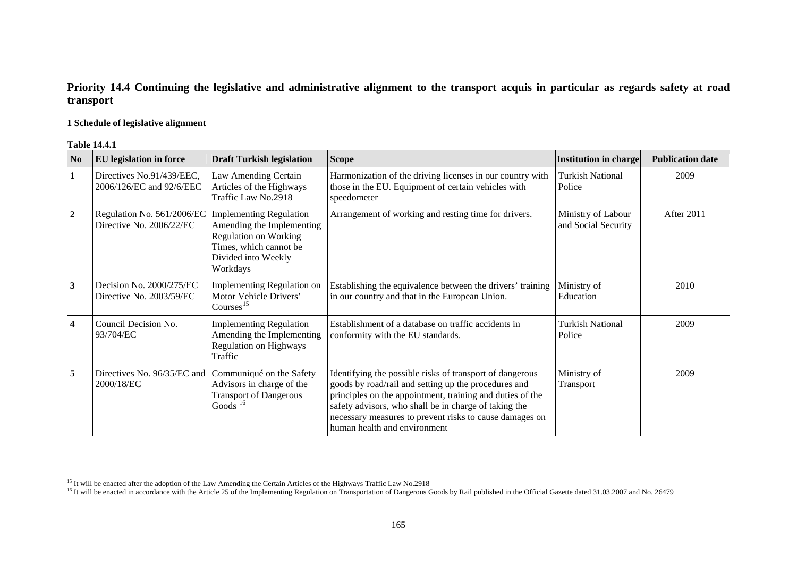# **Priority 14.4 Continuing the legislative and administrative alignment to the transport acquis in particular as regards safety at road transport**

### **1 Schedule of legislative alignment**

#### **Table 14.4.1**

| N <sub>0</sub>          | EU legislation in force                                | <b>Draft Turkish legislation</b>                                                                                                                         | <b>Scope</b>                                                                                                                                                                                                                                                                                                                      | <b>Institution in charge</b>              | <b>Publication date</b> |
|-------------------------|--------------------------------------------------------|----------------------------------------------------------------------------------------------------------------------------------------------------------|-----------------------------------------------------------------------------------------------------------------------------------------------------------------------------------------------------------------------------------------------------------------------------------------------------------------------------------|-------------------------------------------|-------------------------|
| $\mathbf{1}$            | Directives No.91/439/EEC,<br>2006/126/EC and 92/6/EEC  | Law Amending Certain<br>Articles of the Highways<br>Traffic Law No.2918                                                                                  | Harmonization of the driving licenses in our country with<br>those in the EU. Equipment of certain vehicles with<br>speedometer                                                                                                                                                                                                   | Turkish National<br>Police                | 2009                    |
| $\boldsymbol{2}$        | Regulation No. 561/2006/EC<br>Directive No. 2006/22/EC | <b>Implementing Regulation</b><br>Amending the Implementing<br><b>Regulation on Working</b><br>Times, which cannot be<br>Divided into Weekly<br>Workdays | Arrangement of working and resting time for drivers.                                                                                                                                                                                                                                                                              | Ministry of Labour<br>and Social Security | After 2011              |
| 3                       | Decision No. 2000/275/EC<br>Directive No. 2003/59/EC   | Implementing Regulation on<br>Motor Vehicle Drivers'<br>Courses $^{15}$                                                                                  | Establishing the equivalence between the drivers' training<br>in our country and that in the European Union.                                                                                                                                                                                                                      | Ministry of<br>Education                  | 2010                    |
| $\overline{\mathbf{4}}$ | Council Decision No.<br>93/704/EC                      | <b>Implementing Regulation</b><br>Amending the Implementing<br>Regulation on Highways<br>Traffic                                                         | Establishment of a database on traffic accidents in<br>conformity with the EU standards.                                                                                                                                                                                                                                          | <b>Turkish National</b><br>Police         | 2009                    |
| 5                       | Directives No. 96/35/EC and<br>2000/18/EC              | Communiqué on the Safety<br>Advisors in charge of the<br><b>Transport of Dangerous</b><br>Goods $16$                                                     | Identifying the possible risks of transport of dangerous<br>goods by road/rail and setting up the procedures and<br>principles on the appointment, training and duties of the<br>safety advisors, who shall be in charge of taking the<br>necessary measures to prevent risks to cause damages on<br>human health and environment | Ministry of<br>Transport                  | 2009                    |

<span id="page-17-0"></span><sup>&</sup>lt;sup>15</sup> It will be enacted after the adoption of the Law Amending the Certain Articles of the Highways Traffic Law No.2918

<span id="page-17-1"></span><sup>&</sup>lt;sup>16</sup> It will be enacted in accordance with the Article 25 of the Implementing Regulation on Transportation of Dangerous Goods by Rail published in the Official Gazette dated 31.03.2007 and No. 26479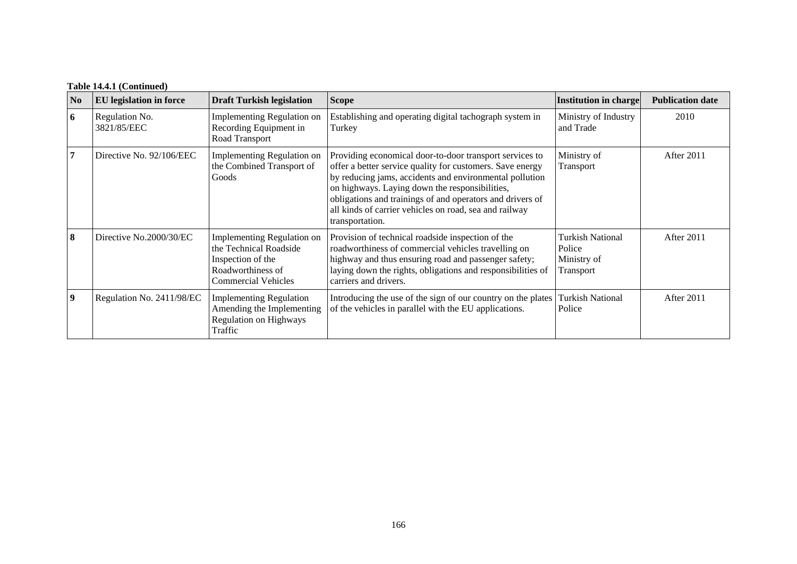# **Table 14.4.1 (Continued)**

| N <sub>0</sub>          | <b>EU</b> legislation in force | <b>Draft Turkish legislation</b>                                                                                             | <b>Scope</b>                                                                                                                                                                                                                                                                                                                                                                | <b>Institution in charge</b>                                  | <b>Publication date</b> |
|-------------------------|--------------------------------|------------------------------------------------------------------------------------------------------------------------------|-----------------------------------------------------------------------------------------------------------------------------------------------------------------------------------------------------------------------------------------------------------------------------------------------------------------------------------------------------------------------------|---------------------------------------------------------------|-------------------------|
| 6                       | Regulation No.<br>3821/85/EEC  | <b>Implementing Regulation on</b><br>Recording Equipment in<br>Road Transport                                                | Establishing and operating digital tachograph system in<br>Turkey                                                                                                                                                                                                                                                                                                           | Ministry of Industry<br>and Trade                             | 2010                    |
| $7\phantom{.0}$         | Directive No. 92/106/EEC       | Implementing Regulation on<br>the Combined Transport of<br>Goods                                                             | Providing economical door-to-door transport services to<br>offer a better service quality for customers. Save energy<br>by reducing jams, accidents and environmental pollution<br>on highways. Laying down the responsibilities,<br>obligations and trainings of and operators and drivers of<br>all kinds of carrier vehicles on road, sea and railway<br>transportation. | Ministry of<br>Transport                                      | After 2011              |
| 8                       | Directive No.2000/30/EC        | Implementing Regulation on<br>the Technical Roadside<br>Inspection of the<br>Roadworthiness of<br><b>Commercial Vehicles</b> | Provision of technical roadside inspection of the<br>roadworthiness of commercial vehicles travelling on<br>highway and thus ensuring road and passenger safety;<br>laying down the rights, obligations and responsibilities of<br>carriers and drivers.                                                                                                                    | <b>Turkish National</b><br>Police<br>Ministry of<br>Transport | After 2011              |
| $\overline{\mathbf{9}}$ | Regulation No. 2411/98/EC      | <b>Implementing Regulation</b><br>Amending the Implementing<br><b>Regulation on Highways</b><br>Traffic                      | Introducing the use of the sign of our country on the plates<br>of the vehicles in parallel with the EU applications.                                                                                                                                                                                                                                                       | <b>Turkish National</b><br>Police                             | After 2011              |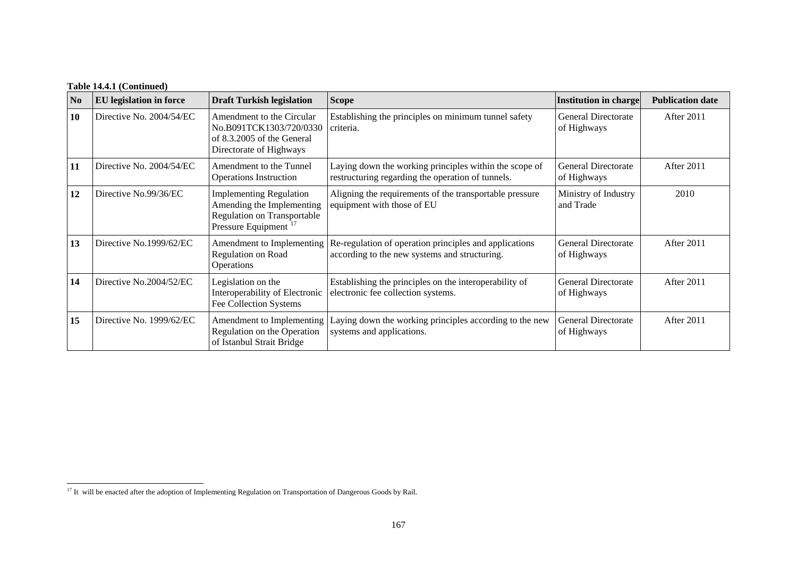# **Table 14.4.1 (Continued)**

| N <sub>0</sub> | <b>EU</b> legislation in force | <b>Draft Turkish legislation</b>                                                                                               | <b>Scope</b>                                                                                                | Institution in charge                     | <b>Publication date</b> |
|----------------|--------------------------------|--------------------------------------------------------------------------------------------------------------------------------|-------------------------------------------------------------------------------------------------------------|-------------------------------------------|-------------------------|
| 10             | Directive No. 2004/54/EC       | Amendment to the Circular<br>No.B091TCK1303/720/0330<br>of 8.3.2005 of the General<br>Directorate of Highways                  | Establishing the principles on minimum tunnel safety<br>criteria.                                           | <b>General Directorate</b><br>of Highways | After 2011              |
| 11             | Directive No. 2004/54/EC       | Amendment to the Tunnel<br><b>Operations Instruction</b>                                                                       | Laying down the working principles within the scope of<br>restructuring regarding the operation of tunnels. | <b>General Directorate</b><br>of Highways | After 2011              |
| 12             | Directive No.99/36/EC          | <b>Implementing Regulation</b><br>Amending the Implementing<br>Regulation on Transportable<br>Pressure Equipment <sup>17</sup> | Aligning the requirements of the transportable pressure<br>equipment with those of EU                       | Ministry of Industry<br>and Trade         | 2010                    |
| 13             | Directive No.1999/62/EC        | Amendment to Implementing<br>Regulation on Road<br>Operations                                                                  | Re-regulation of operation principles and applications<br>according to the new systems and structuring.     | <b>General Directorate</b><br>of Highways | After 2011              |
| 14             | Directive No.2004/52/EC        | Legislation on the<br>Interoperability of Electronic<br>Fee Collection Systems                                                 | Establishing the principles on the interoperability of<br>electronic fee collection systems.                | <b>General Directorate</b><br>of Highways | After 2011              |
| 15             | Directive No. 1999/62/EC       | Amendment to Implementing<br>Regulation on the Operation<br>of Istanbul Strait Bridge                                          | Laying down the working principles according to the new<br>systems and applications.                        | <b>General Directorate</b><br>of Highways | After 2011              |

 $\overline{\phantom{0}}$ 

<span id="page-19-0"></span><sup>&</sup>lt;sup>17</sup> It will be enacted after the adoption of Implementing Regulation on Transportation of Dangerous Goods by Rail.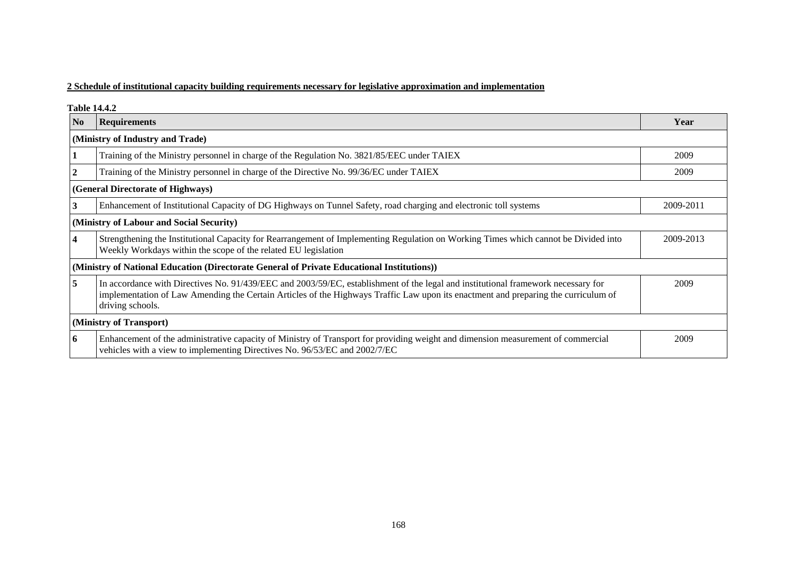# **2 Schedule of institutional capacity building requirements necessary for legislative approximation and implementation**

**Table 14.4.2** 

| N <sub>0</sub>                                                                             | <b>Requirements</b>                                                                                                                                                                                                                                                                         | Year      |  |  |  |  |
|--------------------------------------------------------------------------------------------|---------------------------------------------------------------------------------------------------------------------------------------------------------------------------------------------------------------------------------------------------------------------------------------------|-----------|--|--|--|--|
|                                                                                            | (Ministry of Industry and Trade)                                                                                                                                                                                                                                                            |           |  |  |  |  |
|                                                                                            | Training of the Ministry personnel in charge of the Regulation No. 3821/85/EEC under TAIEX                                                                                                                                                                                                  | 2009      |  |  |  |  |
| $\overline{2}$                                                                             | Training of the Ministry personnel in charge of the Directive No. 99/36/EC under TAIEX                                                                                                                                                                                                      |           |  |  |  |  |
|                                                                                            | (General Directorate of Highways)                                                                                                                                                                                                                                                           |           |  |  |  |  |
| 3                                                                                          | Enhancement of Institutional Capacity of DG Highways on Tunnel Safety, road charging and electronic toll systems                                                                                                                                                                            | 2009-2011 |  |  |  |  |
| (Ministry of Labour and Social Security)                                                   |                                                                                                                                                                                                                                                                                             |           |  |  |  |  |
| $\overline{4}$                                                                             | Strengthening the Institutional Capacity for Rearrangement of Implementing Regulation on Working Times which cannot be Divided into<br>Weekly Workdays within the scope of the related EU legislation                                                                                       | 2009-2013 |  |  |  |  |
| (Ministry of National Education (Directorate General of Private Educational Institutions)) |                                                                                                                                                                                                                                                                                             |           |  |  |  |  |
| 5                                                                                          | In accordance with Directives No. 91/439/EEC and 2003/59/EC, establishment of the legal and institutional framework necessary for<br>implementation of Law Amending the Certain Articles of the Highways Traffic Law upon its enactment and preparing the curriculum of<br>driving schools. | 2009      |  |  |  |  |
|                                                                                            | (Ministry of Transport)                                                                                                                                                                                                                                                                     |           |  |  |  |  |
| 6                                                                                          | Enhancement of the administrative capacity of Ministry of Transport for providing weight and dimension measurement of commercial<br>vehicles with a view to implementing Directives No. 96/53/EC and 2002/7/EC                                                                              | 2009      |  |  |  |  |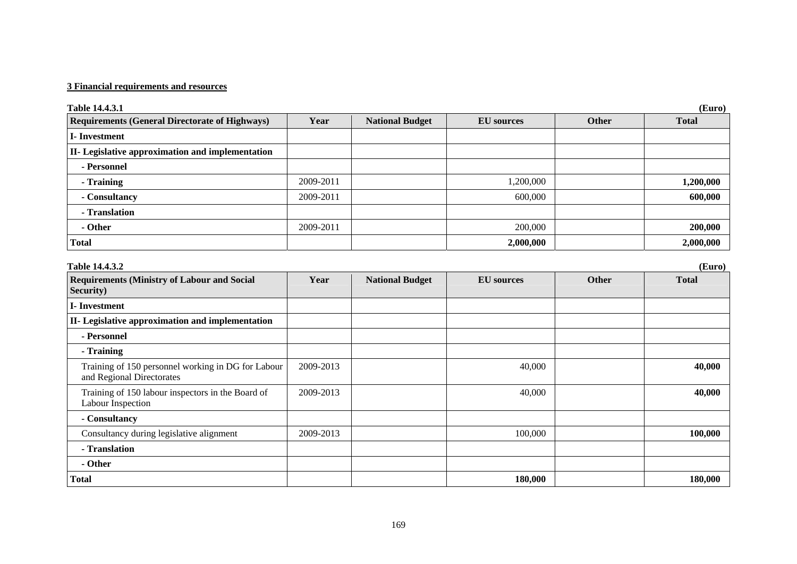# **3 Financial requirements and resources**

| Table 14.4.3.1                                                                  |           |                        |                   |              | (Euro)       |
|---------------------------------------------------------------------------------|-----------|------------------------|-------------------|--------------|--------------|
| <b>Requirements (General Directorate of Highways)</b>                           | Year      | <b>National Budget</b> | <b>EU</b> sources | <b>Other</b> | <b>Total</b> |
| <b>I-Investment</b>                                                             |           |                        |                   |              |              |
| II- Legislative approximation and implementation                                |           |                        |                   |              |              |
| - Personnel                                                                     |           |                        |                   |              |              |
| - Training                                                                      | 2009-2011 |                        | 1,200,000         |              | 1,200,000    |
| - Consultancy                                                                   | 2009-2011 |                        | 600,000           |              | 600,000      |
| - Translation                                                                   |           |                        |                   |              |              |
| - Other                                                                         | 2009-2011 |                        | 200,000           |              | 200,000      |
| <b>Total</b>                                                                    |           |                        | 2,000,000         |              | 2,000,000    |
| Table 14.4.3.2                                                                  |           |                        |                   |              | (Euro)       |
| <b>Requirements (Ministry of Labour and Social</b><br>Security)                 | Year      | <b>National Budget</b> | <b>EU</b> sources | <b>Other</b> | <b>Total</b> |
| <b>I-Investment</b>                                                             |           |                        |                   |              |              |
| II- Legislative approximation and implementation                                |           |                        |                   |              |              |
| - Personnel                                                                     |           |                        |                   |              |              |
| - Training                                                                      |           |                        |                   |              |              |
| Training of 150 personnel working in DG for Labour<br>and Regional Directorates | 2009-2013 |                        | 40,000            |              | 40,000       |
| Training of 150 labour inspectors in the Board of<br>Labour Inspection          | 2009-2013 |                        | 40,000            |              | 40,000       |
| - Consultancy                                                                   |           |                        |                   |              |              |
| Consultancy during legislative alignment                                        | 2009-2013 |                        | 100,000           |              | 100,000      |
| - Translation                                                                   |           |                        |                   |              |              |
| - Other                                                                         |           |                        |                   |              |              |
| <b>Total</b>                                                                    |           |                        | 180,000           |              | 180,000      |